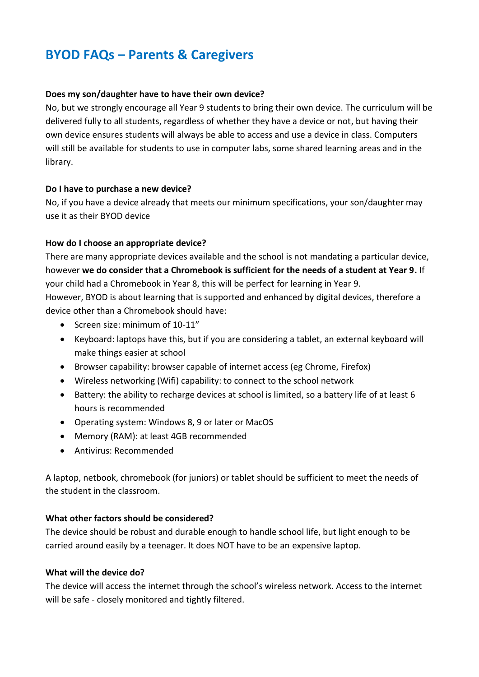# **BYOD FAQs – Parents & Caregivers**

#### **Does my son/daughter have to have their own device?**

No, but we strongly encourage all Year 9 students to bring their own device. The curriculum will be delivered fully to all students, regardless of whether they have a device or not, but having their own device ensures students will always be able to access and use a device in class. Computers will still be available for students to use in computer labs, some shared learning areas and in the library.

#### **Do I have to purchase a new device?**

No, if you have a device already that meets our minimum specifications, your son/daughter may use it as their BYOD device

#### **How do I choose an appropriate device?**

There are many appropriate devices available and the school is not mandating a particular device, however **we do consider that a Chromebook is sufficient for the needs of a student at Year 9.** If your child had a Chromebook in Year 8, this will be perfect for learning in Year 9. However, BYOD is about learning that is supported and enhanced by digital devices, therefore a device other than a Chromebook should have:

- Screen size: minimum of 10-11"
- Keyboard: laptops have this, but if you are considering a tablet, an external keyboard will make things easier at school
- Browser capability: browser capable of internet access (eg Chrome, Firefox)
- Wireless networking (Wifi) capability: to connect to the school network
- Battery: the ability to recharge devices at school is limited, so a battery life of at least 6 hours is recommended
- Operating system: Windows 8, 9 or later or MacOS
- Memory (RAM): at least 4GB recommended
- Antivirus: Recommended

A laptop, netbook, chromebook (for juniors) or tablet should be sufficient to meet the needs of the student in the classroom.

#### **What other factors should be considered?**

The device should be robust and durable enough to handle school life, but light enough to be carried around easily by a teenager. It does NOT have to be an expensive laptop.

#### **What will the device do?**

The device will access the internet through the school's wireless network. Access to the internet will be safe - closely monitored and tightly filtered.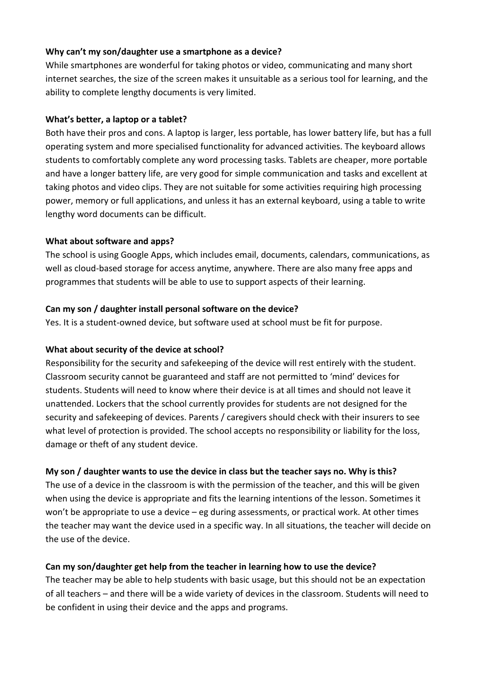#### **Why can't my son/daughter use a smartphone as a device?**

While smartphones are wonderful for taking photos or video, communicating and many short internet searches, the size of the screen makes it unsuitable as a serious tool for learning, and the ability to complete lengthy documents is very limited.

## **What's better, a laptop or a tablet?**

Both have their pros and cons. A laptop is larger, less portable, has lower battery life, but has a full operating system and more specialised functionality for advanced activities. The keyboard allows students to comfortably complete any word processing tasks. Tablets are cheaper, more portable and have a longer battery life, are very good for simple communication and tasks and excellent at taking photos and video clips. They are not suitable for some activities requiring high processing power, memory or full applications, and unless it has an external keyboard, using a table to write lengthy word documents can be difficult.

## **What about software and apps?**

The school is using Google Apps, which includes email, documents, calendars, communications, as well as cloud-based storage for access anytime, anywhere. There are also many free apps and programmes that students will be able to use to support aspects of their learning.

## **Can my son / daughter install personal software on the device?**

Yes. It is a student-owned device, but software used at school must be fit for purpose.

# **What about security of the device at school?**

Responsibility for the security and safekeeping of the device will rest entirely with the student. Classroom security cannot be guaranteed and staff are not permitted to 'mind' devices for students. Students will need to know where their device is at all times and should not leave it unattended. Lockers that the school currently provides for students are not designed for the security and safekeeping of devices. Parents / caregivers should check with their insurers to see what level of protection is provided. The school accepts no responsibility or liability for the loss, damage or theft of any student device.

# **My son / daughter wants to use the device in class but the teacher says no. Why is this?**

The use of a device in the classroom is with the permission of the teacher, and this will be given when using the device is appropriate and fits the learning intentions of the lesson. Sometimes it won't be appropriate to use a device – eg during assessments, or practical work. At other times the teacher may want the device used in a specific way. In all situations, the teacher will decide on the use of the device.

# **Can my son/daughter get help from the teacher in learning how to use the device?**

The teacher may be able to help students with basic usage, but this should not be an expectation of all teachers – and there will be a wide variety of devices in the classroom. Students will need to be confident in using their device and the apps and programs.